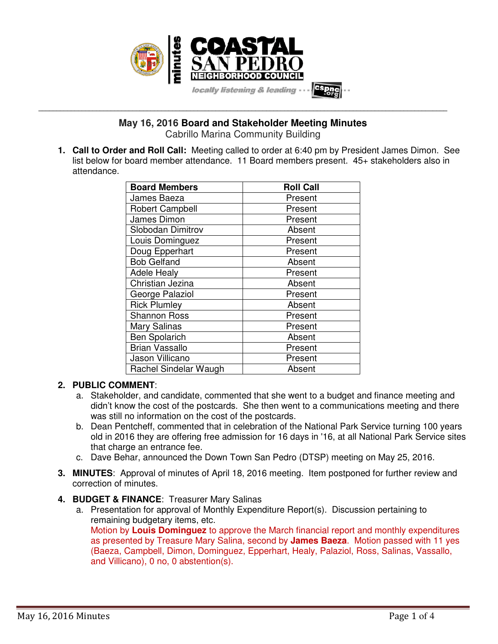

**May 16, 2016 Board and Stakeholder Meeting Minutes** 

**\_\_\_\_\_\_\_\_\_\_\_\_\_\_\_\_\_\_\_\_\_\_\_\_\_\_\_\_\_\_\_\_\_\_\_\_\_\_\_\_\_\_\_\_\_\_\_\_\_\_\_\_\_\_\_\_\_\_\_\_\_\_\_\_\_\_\_\_\_\_\_\_\_\_\_\_\_\_\_\_\_\_\_\_\_\_\_\_\_\_\_\_\_\_\_\_\_\_\_\_\_\_\_\_\_\_\_\_\_\_\_\_\_** 

Cabrillo Marina Community Building

**1. Call to Order and Roll Call:** Meeting called to order at 6:40 pm by President James Dimon. See list below for board member attendance. 11 Board members present. 45+ stakeholders also in attendance.

| <b>Board Members</b>   | <b>Roll Call</b> |
|------------------------|------------------|
| James Baeza            | Present          |
| <b>Robert Campbell</b> | Present          |
| James Dimon            | Present          |
| Slobodan Dimitrov      | Absent           |
| Louis Dominguez        | Present          |
| Doug Epperhart         | Present          |
| <b>Bob Gelfand</b>     | Absent           |
| <b>Adele Healy</b>     | Present          |
| Christian Jezina       | Absent           |
| George Palaziol        | Present          |
| <b>Rick Plumley</b>    | Absent           |
| <b>Shannon Ross</b>    | Present          |
| Mary Salinas           | Present          |
| <b>Ben Spolarich</b>   | Absent           |
| <b>Brian Vassallo</b>  | Present          |
| Jason Villicano        | Present          |
| Rachel Sindelar Waugh  | Absent           |

### **2. PUBLIC COMMENT**:

- a. Stakeholder, and candidate, commented that she went to a budget and finance meeting and didn't know the cost of the postcards. She then went to a communications meeting and there was still no information on the cost of the postcards.
- b. Dean Pentcheff, commented that in celebration of the National Park Service turning 100 years old in 2016 they are offering free admission for 16 days in '16, at all National Park Service sites that charge an entrance fee.
- c. Dave Behar, announced the Down Town San Pedro (DTSP) meeting on May 25, 2016.
- **3. MINUTES**: Approval of minutes of April 18, 2016 meeting. Item postponed for further review and correction of minutes.
- **4. BUDGET & FINANCE**: Treasurer Mary Salinas
	- a. Presentation for approval of Monthly Expenditure Report(s). Discussion pertaining to remaining budgetary items, etc. Motion by **Louis Dominguez** to approve the March financial report and monthly expenditures as presented by Treasure Mary Salina, second by **James Baeza**. Motion passed with 11 yes (Baeza, Campbell, Dimon, Dominguez, Epperhart, Healy, Palaziol, Ross, Salinas, Vassallo, and Villicano), 0 no, 0 abstention(s).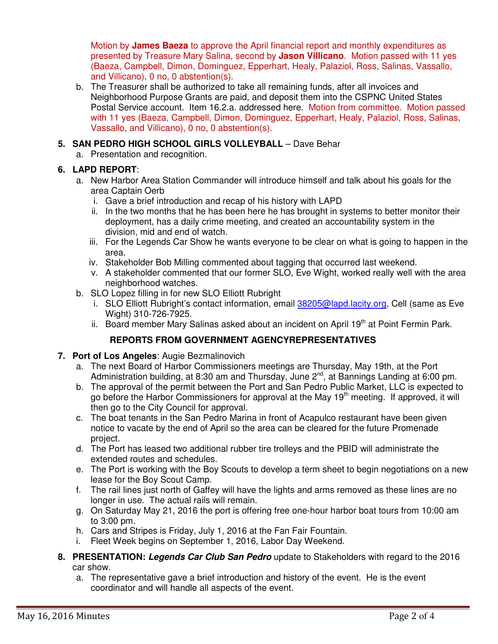Motion by **James Baeza** to approve the April financial report and monthly expenditures as presented by Treasure Mary Salina, second by **Jason Villicano**. Motion passed with 11 yes (Baeza, Campbell, Dimon, Dominguez, Epperhart, Healy, Palaziol, Ross, Salinas, Vassallo, and Villicano), 0 no, 0 abstention(s).

b. The Treasurer shall be authorized to take all remaining funds, after all invoices and Neighborhood Purpose Grants are paid, and deposit them into the CSPNC United States Postal Service account. Item 16.2.a. addressed here. Motion from committee. Motion passed with 11 yes (Baeza, Campbell, Dimon, Dominguez, Epperhart, Healy, Palaziol, Ross, Salinas, Vassallo, and Villicano), 0 no, 0 abstention(s).

# **5. SAN PEDRO HIGH SCHOOL GIRLS VOLLEYBALL** – Dave Behar

a. Presentation and recognition.

# **6. LAPD REPORT**:

- a. New Harbor Area Station Commander will introduce himself and talk about his goals for the area Captain Oerb
	- i. Gave a brief introduction and recap of his history with LAPD
	- ii. In the two months that he has been here he has brought in systems to better monitor their deployment, has a daily crime meeting, and created an accountability system in the division, mid and end of watch.
	- iii. For the Legends Car Show he wants everyone to be clear on what is going to happen in the area.
	- iv. Stakeholder Bob Milling commented about tagging that occurred last weekend.
	- v. A stakeholder commented that our former SLO, Eve Wight, worked really well with the area neighborhood watches.
- b. SLO Lopez filling in for new SLO Elliott Rubright
	- i. SLO Elliott Rubright's contact information, email 38205@lapd.lacity.org, Cell (same as Eve Wight) 310-726-7925.
	- ii. Board member Mary Salinas asked about an incident on April 19<sup>th</sup> at Point Fermin Park.

# **REPORTS FROM GOVERNMENT AGENCYREPRESENTATIVES**

- **7. Port of Los Angeles**: Augie Bezmalinovich
	- a. The next Board of Harbor Commissioners meetings are Thursday, May 19th, at the Port Administration building, at 8:30 am and Thursday, June 2<sup>nd</sup>, at Bannings Landing at 6:00 pm.
	- b. The approval of the permit between the Port and San Pedro Public Market, LLC is expected to go before the Harbor Commissioners for approval at the May 19<sup>th</sup> meeting. If approved, it will then go to the City Council for approval.
	- c. The boat tenants in the San Pedro Marina in front of Acapulco restaurant have been given notice to vacate by the end of April so the area can be cleared for the future Promenade project.
	- d. The Port has leased two additional rubber tire trolleys and the PBID will administrate the extended routes and schedules.
	- e. The Port is working with the Boy Scouts to develop a term sheet to begin negotiations on a new lease for the Boy Scout Camp.
	- f. The rail lines just north of Gaffey will have the lights and arms removed as these lines are no longer in use. The actual rails will remain.
	- g. On Saturday May 21, 2016 the port is offering free one-hour harbor boat tours from 10:00 am to 3:00 pm.
	- h. Cars and Stripes is Friday, July 1, 2016 at the Fan Fair Fountain.
	- i. Fleet Week begins on September 1, 2016, Labor Day Weekend.

### **8. PRESENTATION: Legends Car Club San Pedro** update to Stakeholders with regard to the 2016 car show.

a. The representative gave a brief introduction and history of the event. He is the event coordinator and will handle all aspects of the event.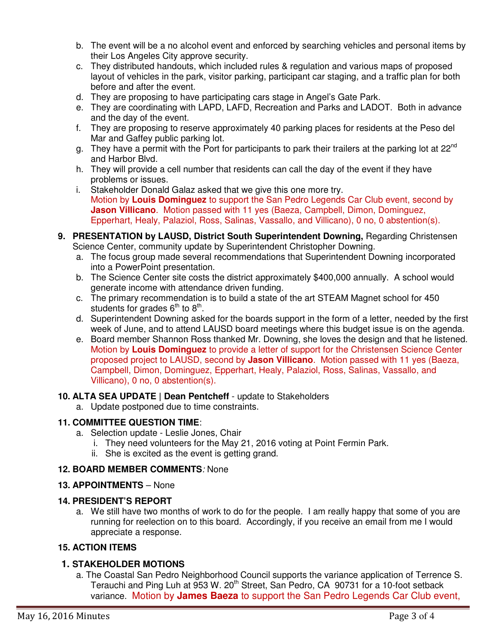- b. The event will be a no alcohol event and enforced by searching vehicles and personal items by their Los Angeles City approve security.
- c. They distributed handouts, which included rules & regulation and various maps of proposed layout of vehicles in the park, visitor parking, participant car staging, and a traffic plan for both before and after the event.
- d. They are proposing to have participating cars stage in Angel's Gate Park.
- e. They are coordinating with LAPD, LAFD, Recreation and Parks and LADOT. Both in advance and the day of the event.
- f. They are proposing to reserve approximately 40 parking places for residents at the Peso del Mar and Gaffey public parking lot.
- g. They have a permit with the Port for participants to park their trailers at the parking lot at 22<sup>nd</sup> and Harbor Blvd.
- h. They will provide a cell number that residents can call the day of the event if they have problems or issues.
- i. Stakeholder Donald Galaz asked that we give this one more try. Motion by **Louis Dominguez** to support the San Pedro Legends Car Club event, second by **Jason Villicano**. Motion passed with 11 yes (Baeza, Campbell, Dimon, Dominguez, Epperhart, Healy, Palaziol, Ross, Salinas, Vassallo, and Villicano), 0 no, 0 abstention(s).
- **9. PRESENTATION by LAUSD, District South Superintendent Downing, Regarding Christensen** Science Center, community update by Superintendent Christopher Downing.
	- a. The focus group made several recommendations that Superintendent Downing incorporated into a PowerPoint presentation.
	- b. The Science Center site costs the district approximately \$400,000 annually. A school would generate income with attendance driven funding.
	- c. The primary recommendation is to build a state of the art STEAM Magnet school for 450 students for grades  $6<sup>th</sup>$  to  $8<sup>th</sup>$ .
	- d. Superintendent Downing asked for the boards support in the form of a letter, needed by the first week of June, and to attend LAUSD board meetings where this budget issue is on the agenda.
	- e. Board member Shannon Ross thanked Mr. Downing, she loves the design and that he listened. Motion by **Louis Dominguez** to provide a letter of support for the Christensen Science Center proposed project to LAUSD, second by **Jason Villicano**. Motion passed with 11 yes (Baeza, Campbell, Dimon, Dominguez, Epperhart, Healy, Palaziol, Ross, Salinas, Vassallo, and Villicano), 0 no, 0 abstention(s).

### **10. ALTA SEA UPDATE | Dean Pentcheff** - update to Stakeholders

a. Update postponed due to time constraints.

# **11. COMMITTEE QUESTION TIME**:

- a. Selection update Leslie Jones, Chair
	- i. They need volunteers for the May 21, 2016 voting at Point Fermin Park.
	- ii. She is excited as the event is getting grand.

### **12. BOARD MEMBER COMMENTS**: None

### **13. APPOINTMENTS** – None

### **14. PRESIDENT'S REPORT**

a. We still have two months of work to do for the people. I am really happy that some of you are running for reelection on to this board. Accordingly, if you receive an email from me I would appreciate a response.

# **15. ACTION ITEMS**

# **1. STAKEHOLDER MOTIONS**

a. The Coastal San Pedro Neighborhood Council supports the variance application of Terrence S. Terauchi and Ping Luh at 953 W. 20<sup>th</sup> Street, San Pedro, CA 90731 for a 10-foot setback variance. Motion by **James Baeza** to support the San Pedro Legends Car Club event,